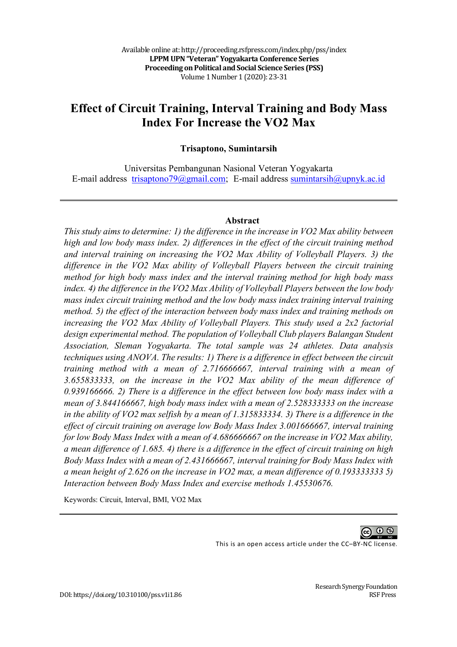# **Effect of Circuit Training, Interval Training and Body Mass Index For Increase the VO2 Max**

#### **Trisaptono, Sumintarsih**

Universitas Pembangunan Nasional Veteran Yogyakarta E-mail address trisaptono79@gmail.com; E-mail address sumintarsih@upnyk.ac.id

#### **Abstract**

*This study aims to determine: 1) the difference in the increase in VO2 Max ability between high and low body mass index. 2) differences in the effect of the circuit training method and interval training on increasing the VO2 Max Ability of Volleyball Players. 3) the difference in the VO2 Max ability of Volleyball Players between the circuit training method for high body mass index and the interval training method for high body mass index. 4) the difference in the VO2 Max Ability of Volleyball Players between the low body mass index circuit training method and the low body mass index training interval training method. 5) the effect of the interaction between body mass index and training methods on increasing the VO2 Max Ability of Volleyball Players. This study used a 2x2 factorial design experimental method. The population of Volleyball Club players Balangan Student Association, Sleman Yogyakarta. The total sample was 24 athletes. Data analysis techniques using ANOVA. The results: 1) There is a difference in effect between the circuit training method with a mean of 2.716666667, interval training with a mean of 3.655833333, on the increase in the VO2 Max ability of the mean difference of 0.939166666. 2) There is a difference in the effect between low body mass index with a mean of 3.844166667, high body mass index with a mean of 2.528333333 on the increase*  in the ability of VO2 max selfish by a mean of 1.315833334. 3) There is a difference in the *effect of circuit training on average low Body Mass Index 3.001666667, interval training for low Body Mass Index with a mean of 4.686666667 on the increase in VO2 Max ability, a mean difference of 1.685. 4) there is a difference in the effect of circuit training on high Body Mass Index with a mean of 2.431666667, interval training for Body Mass Index with a mean height of 2.626 on the increase in VO2 max, a mean difference of 0.193333333 5) Interaction between Body Mass Index and exercise methods 1.45530676.*

Keywords: Circuit, Interval, BMI, VO2 Max



This is an open access article under the CC–BY-NC license.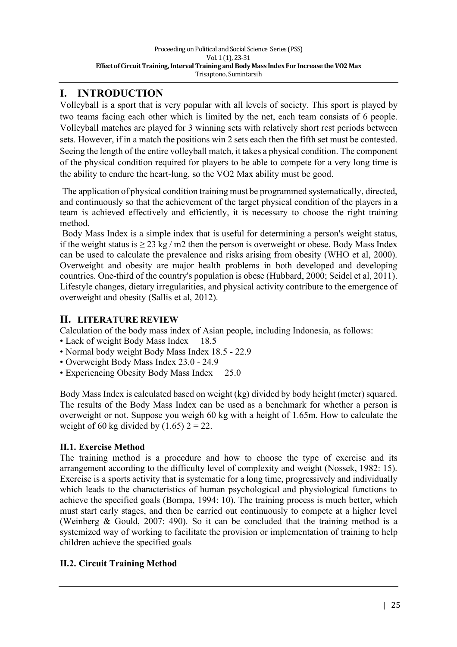# **I. INTRODUCTION**

Volleyball is a sport that is very popular with all levels of society. This sport is played by two teams facing each other which is limited by the net, each team consists of 6 people. Volleyball matches are played for 3 winning sets with relatively short rest periods between sets. However, if in a match the positions win 2 sets each then the fifth set must be contested. Seeing the length of the entire volleyball match, it takes a physical condition. The component of the physical condition required for players to be able to compete for a very long time is the ability to endure the heart-lung, so the VO2 Max ability must be good.

The application of physical condition training must be programmed systematically, directed, and continuously so that the achievement of the target physical condition of the players in a team is achieved effectively and efficiently, it is necessary to choose the right training method.

Body Mass Index is a simple index that is useful for determining a person's weight status, if the weight status is  $\geq$  23 kg / m2 then the person is overweight or obese. Body Mass Index can be used to calculate the prevalence and risks arising from obesity (WHO et al, 2000). Overweight and obesity are major health problems in both developed and developing countries. One-third of the country's population is obese (Hubbard, 2000; Seidel et al, 2011). Lifestyle changes, dietary irregularities, and physical activity contribute to the emergence of overweight and obesity (Sallis et al, 2012).

# **II. LITERATURE REVIEW**

Calculation of the body mass index of Asian people, including Indonesia, as follows:

- Lack of weight Body Mass Index 18.5
- Normal body weight Body Mass Index 18.5 22.9
- Overweight Body Mass Index 23.0 24.9
- Experiencing Obesity Body Mass Index 25.0

Body Mass Index is calculated based on weight (kg) divided by body height (meter) squared. The results of the Body Mass Index can be used as a benchmark for whether a person is overweight or not. Suppose you weigh 60 kg with a height of 1.65m. How to calculate the weight of 60 kg divided by  $(1.65)$  2 = 22.

## **II.1. Exercise Method**

The training method is a procedure and how to choose the type of exercise and its arrangement according to the difficulty level of complexity and weight (Nossek, 1982: 15). Exercise is a sports activity that is systematic for a long time, progressively and individually which leads to the characteristics of human psychological and physiological functions to achieve the specified goals (Bompa, 1994: 10). The training process is much better, which must start early stages, and then be carried out continuously to compete at a higher level (Weinberg & Gould, 2007: 490). So it can be concluded that the training method is a systemized way of working to facilitate the provision or implementation of training to help children achieve the specified goals

## **II.2. Circuit Training Method**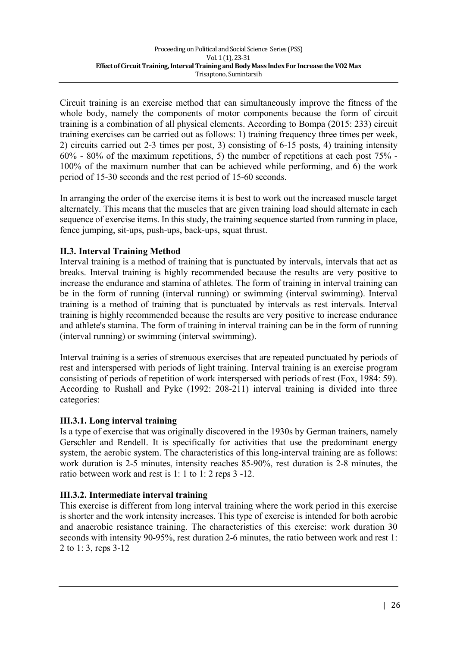Circuit training is an exercise method that can simultaneously improve the fitness of the whole body, namely the components of motor components because the form of circuit training is a combination of all physical elements. According to Bompa (2015: 233) circuit training exercises can be carried out as follows: 1) training frequency three times per week, 2) circuits carried out 2-3 times per post, 3) consisting of 6-15 posts, 4) training intensity 60% - 80% of the maximum repetitions, 5) the number of repetitions at each post 75% - 100% of the maximum number that can be achieved while performing, and 6) the work period of 15-30 seconds and the rest period of 15-60 seconds.

In arranging the order of the exercise items it is best to work out the increased muscle target alternately. This means that the muscles that are given training load should alternate in each sequence of exercise items. In this study, the training sequence started from running in place, fence jumping, sit-ups, push-ups, back-ups, squat thrust.

### **II.3. Interval Training Method**

Interval training is a method of training that is punctuated by intervals, intervals that act as breaks. Interval training is highly recommended because the results are very positive to increase the endurance and stamina of athletes. The form of training in interval training can be in the form of running (interval running) or swimming (interval swimming). Interval training is a method of training that is punctuated by intervals as rest intervals. Interval training is highly recommended because the results are very positive to increase endurance and athlete's stamina. The form of training in interval training can be in the form of running (interval running) or swimming (interval swimming).

Interval training is a series of strenuous exercises that are repeated punctuated by periods of rest and interspersed with periods of light training. Interval training is an exercise program consisting of periods of repetition of work interspersed with periods of rest (Fox, 1984: 59). According to Rushall and Pyke (1992: 208-211) interval training is divided into three categories:

#### **III.3.1. Long interval training**

Is a type of exercise that was originally discovered in the 1930s by German trainers, namely Gerschler and Rendell. It is specifically for activities that use the predominant energy system, the aerobic system. The characteristics of this long-interval training are as follows: work duration is 2-5 minutes, intensity reaches 85-90%, rest duration is 2-8 minutes, the ratio between work and rest is 1: 1 to 1: 2 reps 3 -12.

### **III.3.2. Intermediate interval training**

This exercise is different from long interval training where the work period in this exercise is shorter and the work intensity increases. This type of exercise is intended for both aerobic and anaerobic resistance training. The characteristics of this exercise: work duration 30 seconds with intensity 90-95%, rest duration 2-6 minutes, the ratio between work and rest 1: 2 to 1: 3, reps 3-12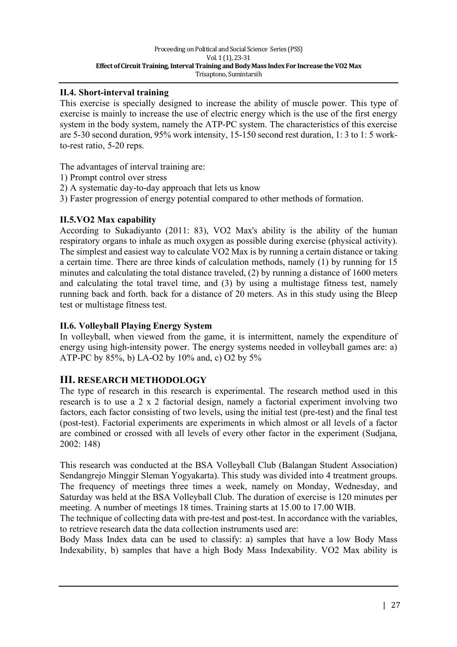#### **II.4. Short-interval training**

This exercise is specially designed to increase the ability of muscle power. This type of exercise is mainly to increase the use of electric energy which is the use of the first energy system in the body system, namely the ATP-PC system. The characteristics of this exercise are 5-30 second duration, 95% work intensity, 15-150 second rest duration, 1: 3 to 1: 5 workto-rest ratio, 5-20 reps.

The advantages of interval training are:

- 1) Prompt control over stress
- 2) A systematic day-to-day approach that lets us know
- 3) Faster progression of energy potential compared to other methods of formation.

#### **II.5.VO2 Max capability**

According to Sukadiyanto (2011: 83), VO2 Max's ability is the ability of the human respiratory organs to inhale as much oxygen as possible during exercise (physical activity). The simplest and easiest way to calculate VO2 Max is by running a certain distance or taking a certain time. There are three kinds of calculation methods, namely (1) by running for 15 minutes and calculating the total distance traveled, (2) by running a distance of 1600 meters and calculating the total travel time, and (3) by using a multistage fitness test, namely running back and forth. back for a distance of 20 meters. As in this study using the Bleep test or multistage fitness test.

#### **II.6. Volleyball Playing Energy System**

In volleyball, when viewed from the game, it is intermittent, namely the expenditure of energy using high-intensity power. The energy systems needed in volleyball games are: a) ATP-PC by 85%, b) LA-O2 by 10% and, c) O2 by 5%

### **III. RESEARCH METHODOLOGY**

The type of research in this research is experimental. The research method used in this research is to use a 2 x 2 factorial design, namely a factorial experiment involving two factors, each factor consisting of two levels, using the initial test (pre-test) and the final test (post-test). Factorial experiments are experiments in which almost or all levels of a factor are combined or crossed with all levels of every other factor in the experiment (Sudjana, 2002: 148)

This research was conducted at the BSA Volleyball Club (Balangan Student Association) Sendangrejo Minggir Sleman Yogyakarta). This study was divided into 4 treatment groups. The frequency of meetings three times a week, namely on Monday, Wednesday, and Saturday was held at the BSA Volleyball Club. The duration of exercise is 120 minutes per meeting. A number of meetings 18 times. Training starts at 15.00 to 17.00 WIB.

The technique of collecting data with pre-test and post-test. In accordance with the variables, to retrieve research data the data collection instruments used are:

Body Mass Index data can be used to classify: a) samples that have a low Body Mass Indexability, b) samples that have a high Body Mass Indexability. VO2 Max ability is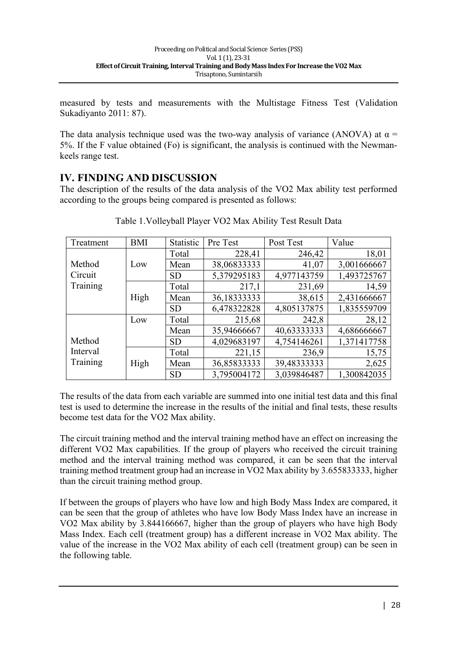measured by tests and measurements with the Multistage Fitness Test (Validation Sukadiyanto 2011: 87).

The data analysis technique used was the two-way analysis of variance (ANOVA) at  $\alpha$  = 5%. If the F value obtained (Fo) is significant, the analysis is continued with the Newmankeels range test.

### **IV. FINDING AND DISCUSSION**

The description of the results of the data analysis of the VO2 Max ability test performed according to the groups being compared is presented as follows:

| Treatment | <b>BMI</b> | <b>Statistic</b> | Pre Test    | Post Test   | Value       |
|-----------|------------|------------------|-------------|-------------|-------------|
|           |            | Total            | 228,41      | 246,42      | 18,01       |
| Method    | Low        | Mean             | 38,06833333 | 41,07       | 3,001666667 |
| Circuit   |            | <b>SD</b>        | 5,379295183 | 4,977143759 | 1,493725767 |
| Training  |            | Total            | 217,1       | 231,69      | 14,59       |
|           | High       | Mean             | 36,18333333 | 38,615      | 2,431666667 |
|           |            | <b>SD</b>        | 6,478322828 | 4,805137875 | 1,835559709 |
|           | Low        | Total            | 215,68      | 242,8       | 28,12       |
|           |            | Mean             | 35,94666667 | 40,63333333 | 4,686666667 |
| Method    |            | <b>SD</b>        | 4,029683197 | 4,754146261 | 1,371417758 |
| Interval  | High       | Total            | 221,15      | 236,9       | 15,75       |
| Training  |            | Mean             | 36,85833333 | 39,48333333 | 2,625       |
|           |            | <b>SD</b>        | 3,795004172 | 3,039846487 | 1,300842035 |

Table 1.Volleyball Player VO2 Max Ability Test Result Data

The results of the data from each variable are summed into one initial test data and this final test is used to determine the increase in the results of the initial and final tests, these results become test data for the VO2 Max ability.

The circuit training method and the interval training method have an effect on increasing the different VO2 Max capabilities. If the group of players who received the circuit training method and the interval training method was compared, it can be seen that the interval training method treatment group had an increase in VO2 Max ability by 3.655833333, higher than the circuit training method group.

If between the groups of players who have low and high Body Mass Index are compared, it can be seen that the group of athletes who have low Body Mass Index have an increase in VO2 Max ability by 3.844166667, higher than the group of players who have high Body Mass Index. Each cell (treatment group) has a different increase in VO2 Max ability. The value of the increase in the VO2 Max ability of each cell (treatment group) can be seen in the following table.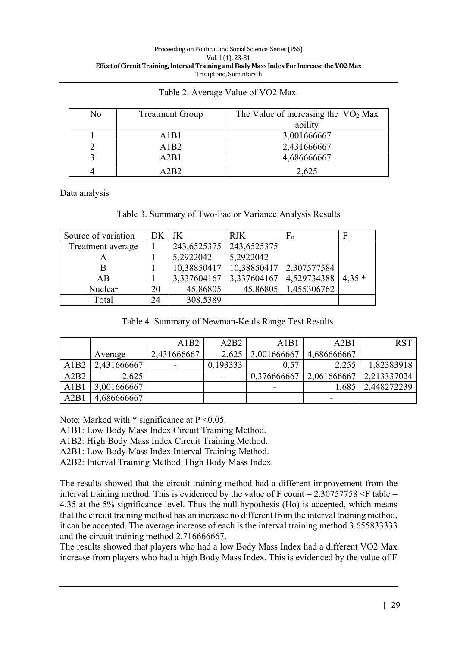| No | <b>Treatment Group</b> | The Value of increasing the $VO2$ Max |
|----|------------------------|---------------------------------------|
|    |                        | ability                               |
|    | A1B1                   | 3,001666667                           |
|    | A1B2                   | 2,431666667                           |
|    | A2B1                   | 4,686666667                           |
|    | A 2R2                  | 2,625                                 |

Table 2. Average Value of VO2 Max.

Data analysis

#### Table 3. Summary of Two-Factor Variance Analysis Results

| Source of variation | DK | JK          | <b>RJK</b>  | $F_{o}$     | F       |
|---------------------|----|-------------|-------------|-------------|---------|
| Treatment average   |    | 243,6525375 | 243,6525375 |             |         |
|                     |    | 5,2922042   | 5,2922042   |             |         |
| В                   |    | 10,38850417 | 10,38850417 | 2,307577584 |         |
| AB                  |    | 3,337604167 | 3,337604167 | 4,529734388 | $4.35*$ |
| Nuclear             | 20 | 45,86805    | 45,86805    | 1,455306762 |         |
| Total               | 24 | 308,5389    |             |             |         |

Table 4. Summary of Newman-Keuls Range Test Results.

|      |             | A1B2                     | A2B2                     | A1B1        | A2B1        | <b>RST</b>  |
|------|-------------|--------------------------|--------------------------|-------------|-------------|-------------|
|      | Average     | 2,431666667              | 2,625                    | 3,001666667 | 4,686666667 |             |
| A1B2 | 2,431666667 | $\overline{\phantom{a}}$ | 0,193333                 | 0,57        | 2,255       | 1,82383918  |
| A2B2 | 2,625       |                          | $\overline{\phantom{0}}$ | 0.376666667 | 2,061666667 | 2,213337024 |
| A1B1 | 3,001666667 |                          |                          |             | 1,685       | 2,448272239 |
| A2B1 | 4,686666667 |                          |                          |             |             |             |

Note: Marked with  $*$  significance at  $P \le 0.05$ .

A1B1: Low Body Mass Index Circuit Training Method.

A1B2: High Body Mass Index Circuit Training Method.

A2B1: Low Body Mass Index Interval Training Method.

A2B2: Interval Training Method High Body Mass Index.

The results showed that the circuit training method had a different improvement from the interval training method. This is evidenced by the value of F count =  $2.30757758 \leq$  table = 4.35 at the 5% significance level. Thus the null hypothesis (Ho) is accepted, which means that the circuit training method has an increase no different from the interval training method, it can be accepted. The average increase of each is the interval training method 3.655833333 and the circuit training method 2.716666667.

The results showed that players who had a low Body Mass Index had a different VO2 Max increase from players who had a high Body Mass Index. This is evidenced by the value of F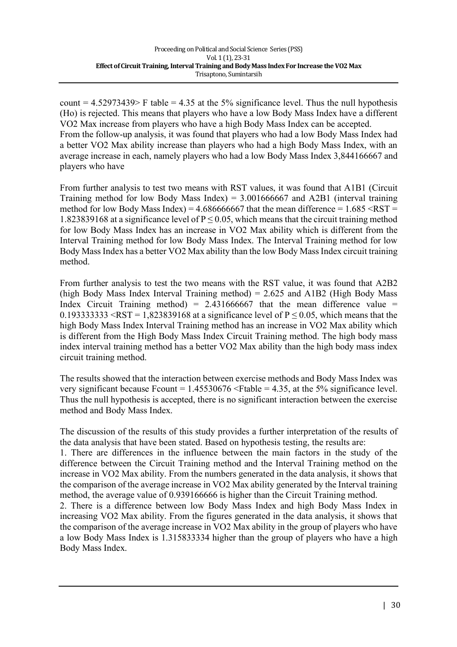count =  $4.52973439$  F table =  $4.35$  at the 5% significance level. Thus the null hypothesis (Ho) is rejected. This means that players who have a low Body Mass Index have a different VO2 Max increase from players who have a high Body Mass Index can be accepted. From the follow-up analysis, it was found that players who had a low Body Mass Index had a better VO2 Max ability increase than players who had a high Body Mass Index, with an average increase in each, namely players who had a low Body Mass Index 3,844166667 and players who have

From further analysis to test two means with RST values, it was found that A1B1 (Circuit Training method for low Body Mass Index) =  $3.001666667$  and A2B1 (interval training method for low Body Mass Index) =  $4.686666667$  that the mean difference =  $1.685 \leq RST$  = 1.823839168 at a significance level of  $P \le 0.05$ , which means that the circuit training method for low Body Mass Index has an increase in VO2 Max ability which is different from the Interval Training method for low Body Mass Index. The Interval Training method for low Body Mass Index has a better VO2 Max ability than the low Body Mass Index circuit training method.

From further analysis to test the two means with the RST value, it was found that A2B2 (high Body Mass Index Interval Training method) =  $2.625$  and A1B2 (High Body Mass Index Circuit Training method) =  $2.431666667$  that the mean difference value = 0.1933333333 <RST = 1.823839168 at a significance level of  $P \le 0.05$ , which means that the high Body Mass Index Interval Training method has an increase in VO2 Max ability which is different from the High Body Mass Index Circuit Training method. The high body mass index interval training method has a better VO2 Max ability than the high body mass index circuit training method.

The results showed that the interaction between exercise methods and Body Mass Index was very significant because Fcount =  $1.45530676$  <Ftable = 4.35, at the 5% significance level. Thus the null hypothesis is accepted, there is no significant interaction between the exercise method and Body Mass Index.

The discussion of the results of this study provides a further interpretation of the results of the data analysis that have been stated. Based on hypothesis testing, the results are:

1. There are differences in the influence between the main factors in the study of the difference between the Circuit Training method and the Interval Training method on the increase in VO2 Max ability. From the numbers generated in the data analysis, it shows that the comparison of the average increase in VO2 Max ability generated by the Interval training method, the average value of 0.939166666 is higher than the Circuit Training method.

2. There is a difference between low Body Mass Index and high Body Mass Index in increasing VO2 Max ability. From the figures generated in the data analysis, it shows that the comparison of the average increase in VO2 Max ability in the group of players who have a low Body Mass Index is 1.315833334 higher than the group of players who have a high Body Mass Index.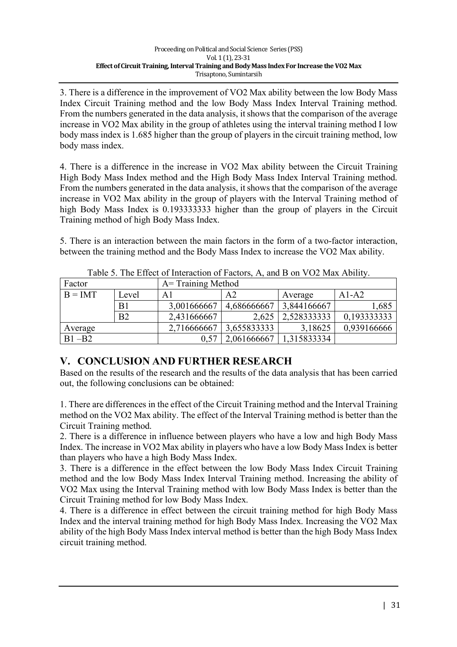3. There is a difference in the improvement of VO2 Max ability between the low Body Mass Index Circuit Training method and the low Body Mass Index Interval Training method. From the numbers generated in the data analysis, it shows that the comparison of the average increase in VO2 Max ability in the group of athletes using the interval training method I low body mass index is 1.685 higher than the group of players in the circuit training method, low body mass index.

4. There is a difference in the increase in VO2 Max ability between the Circuit Training High Body Mass Index method and the High Body Mass Index Interval Training method. From the numbers generated in the data analysis, it shows that the comparison of the average increase in VO2 Max ability in the group of players with the Interval Training method of high Body Mass Index is 0.193333333 higher than the group of players in the Circuit Training method of high Body Mass Index.

5. There is an interaction between the main factors in the form of a two-factor interaction, between the training method and the Body Mass Index to increase the VO2 Max ability.

| Factor    |                | A = Training Method |             |             |             |  |  |
|-----------|----------------|---------------------|-------------|-------------|-------------|--|--|
| $B = IMT$ | Level          | A1                  | A2          | Average     | $A1-A2$     |  |  |
|           | B <sub>1</sub> | 3,001666667         | 4,686666667 | 3,844166667 | 1,685       |  |  |
|           | B <sub>2</sub> | 2,431666667         | 2,625       | 2,528333333 | 0,193333333 |  |  |
| Average   |                | 2,716666667         | 3,655833333 | 3,18625     | 0,939166666 |  |  |
| $B1 - B2$ |                | 0.57                | 2,061666667 | 1,315833334 |             |  |  |

Table 5. The Effect of Interaction of Factors, A, and B on VO2 Max Ability.

# **V. CONCLUSION AND FURTHER RESEARCH**

Based on the results of the research and the results of the data analysis that has been carried out, the following conclusions can be obtained:

1. There are differences in the effect of the Circuit Training method and the Interval Training method on the VO2 Max ability. The effect of the Interval Training method is better than the Circuit Training method.

2. There is a difference in influence between players who have a low and high Body Mass Index. The increase in VO2 Max ability in players who have a low Body Mass Index is better than players who have a high Body Mass Index.

3. There is a difference in the effect between the low Body Mass Index Circuit Training method and the low Body Mass Index Interval Training method. Increasing the ability of VO2 Max using the Interval Training method with low Body Mass Index is better than the Circuit Training method for low Body Mass Index.

4. There is a difference in effect between the circuit training method for high Body Mass Index and the interval training method for high Body Mass Index. Increasing the VO2 Max ability of the high Body Mass Index interval method is better than the high Body Mass Index circuit training method.